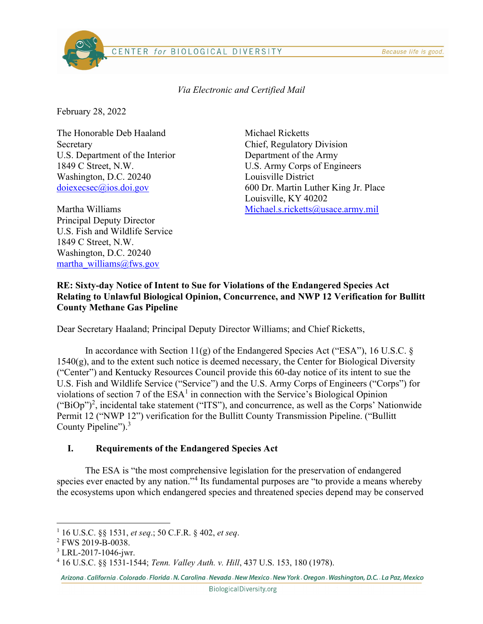#### CENTER for BIOLOGICAL DIVERSITY

Via Electronic and Certified Mail

February 28, 2022

The Honorable Deb Haaland Secretary U.S. Department of the Interior 1849 C Street, N.W. Washington, D.C. 20240 doiexecsec@ios.doi.gov

Martha Williams Principal Deputy Director U.S. Fish and Wildlife Service 1849 C Street, N.W. Washington, D.C. 20240 martha williams@fws.gov

Michael Ricketts Chief, Regulatory Division Department of the Army U.S. Army Corps of Engineers Louisville District 600 Dr. Martin Luther King Jr. Place Louisville, KY 40202 Michael.s.ricketts@usace.army.mil

### RE: Sixty-day Notice of Intent to Sue for Violations of the Endangered Species Act Relating to Unlawful Biological Opinion, Concurrence, and NWP 12 Verification for Bullitt County Methane Gas Pipeline

Dear Secretary Haaland; Principal Deputy Director Williams; and Chief Ricketts,

In accordance with Section  $11(g)$  of the Endangered Species Act ("ESA"), 16 U.S.C. §  $1540(g)$ , and to the extent such notice is deemed necessary, the Center for Biological Diversity ("Center") and Kentucky Resources Council provide this 60-day notice of its intent to sue the U.S. Fish and Wildlife Service ("Service") and the U.S. Army Corps of Engineers ("Corps") for violations of section 7 of the  $ESA^1$  in connection with the Service's Biological Opinion  $("BiOp")^2$ , incidental take statement ("ITS"), and concurrence, as well as the Corps' Nationwide Permit 12 ("NWP 12") verification for the Bullitt County Transmission Pipeline. ("Bullitt County Pipeline").<sup>3</sup>

### I. Requirements of the Endangered Species Act

The ESA is "the most comprehensive legislation for the preservation of endangered species ever enacted by any nation."<sup>4</sup> Its fundamental purposes are "to provide a means whereby the ecosystems upon which endangered species and threatened species depend may be conserved

<sup>&</sup>lt;sup>1</sup> 16 U.S.C. §§ 1531, et seq.; 50 C.F.R. § 402, et seq.

<sup>2</sup> FWS 2019-B-0038.

<sup>&</sup>lt;sup>3</sup> LRL-2017-1046-jwr.

<sup>4</sup> 16 U.S.C. §§ 1531-1544; Tenn. Valley Auth. v. Hill, 437 U.S. 153, 180 (1978).

Arizona California Colorado Florida N. Carolina Nevada New Mexico New York Oregon Washington, D.C. La Paz, Mexico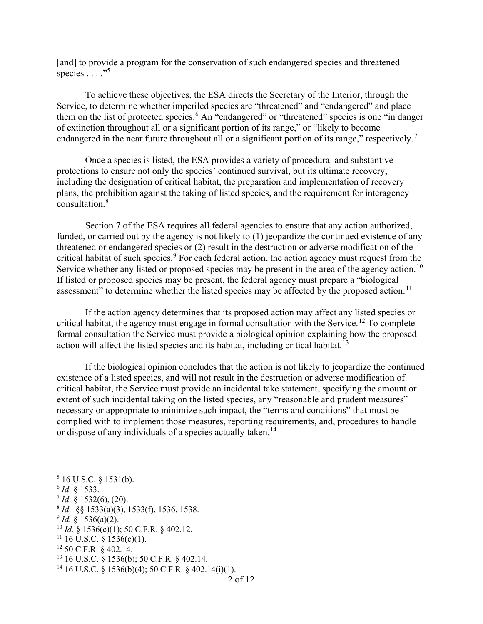[and] to provide a program for the conservation of such endangered species and threatened species  $\dots$ ."

To achieve these objectives, the ESA directs the Secretary of the Interior, through the Service, to determine whether imperiled species are "threatened" and "endangered" and place them on the list of protected species.<sup>6</sup> An "endangered" or "threatened" species is one "in danger of extinction throughout all or a significant portion of its range," or "likely to become endangered in the near future throughout all or a significant portion of its range," respectively.<sup>7</sup>

Once a species is listed, the ESA provides a variety of procedural and substantive protections to ensure not only the species' continued survival, but its ultimate recovery, including the designation of critical habitat, the preparation and implementation of recovery plans, the prohibition against the taking of listed species, and the requirement for interagency consultation.<sup>8</sup>

Section 7 of the ESA requires all federal agencies to ensure that any action authorized, funded, or carried out by the agency is not likely to (1) jeopardize the continued existence of any threatened or endangered species or (2) result in the destruction or adverse modification of the critical habitat of such species.<sup>9</sup> For each federal action, the action agency must request from the Service whether any listed or proposed species may be present in the area of the agency action.<sup>10</sup> If listed or proposed species may be present, the federal agency must prepare a "biological assessment" to determine whether the listed species may be affected by the proposed action.<sup>11</sup>

If the action agency determines that its proposed action may affect any listed species or critical habitat, the agency must engage in formal consultation with the Service.<sup>12</sup> To complete formal consultation the Service must provide a biological opinion explaining how the proposed action will affect the listed species and its habitat, including critical habitat.<sup>13</sup>

If the biological opinion concludes that the action is not likely to jeopardize the continued existence of a listed species, and will not result in the destruction or adverse modification of critical habitat, the Service must provide an incidental take statement, specifying the amount or extent of such incidental taking on the listed species, any "reasonable and prudent measures" necessary or appropriate to minimize such impact, the "terms and conditions" that must be complied with to implement those measures, reporting requirements, and, procedures to handle or dispose of any individuals of a species actually taken.<sup>14</sup>

- $^7$  *Id.* § 1532(6), (20).
- $8$  *Id.* §§ 1533(a)(3), 1533(f), 1536, 1538.
- $9$  *Id.* § 1536(a)(2).
- $10$  *Id.* § 1536(c)(1); 50 C.F.R. § 402.12.
- $11$  16 U.S.C. § 1536(c)(1).
- <sup>12</sup> 50 C.F.R. § 402.14.
- <sup>13</sup> 16 U.S.C. § 1536(b); 50 C.F.R. § 402.14.

 $5$  16 U.S.C. § 1531(b).

 $6$  *Id.* § 1533.

<sup>&</sup>lt;sup>14</sup> 16 U.S.C. § 1536(b)(4); 50 C.F.R. § 402.14(i)(1).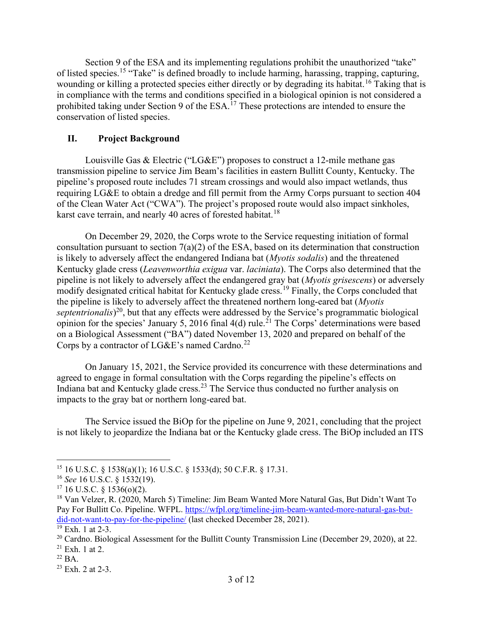Section 9 of the ESA and its implementing regulations prohibit the unauthorized "take" of listed species.<sup>15</sup> "Take" is defined broadly to include harming, harassing, trapping, capturing, wounding or killing a protected species either directly or by degrading its habitat.<sup>16</sup> Taking that is in compliance with the terms and conditions specified in a biological opinion is not considered a prohibited taking under Section 9 of the ESA.<sup>17</sup> These protections are intended to ensure the conservation of listed species.

# II. Project Background

Louisville Gas & Electric ("LG&E") proposes to construct a 12-mile methane gas transmission pipeline to service Jim Beam's facilities in eastern Bullitt County, Kentucky. The pipeline's proposed route includes 71 stream crossings and would also impact wetlands, thus requiring LG&E to obtain a dredge and fill permit from the Army Corps pursuant to section 404 of the Clean Water Act ("CWA"). The project's proposed route would also impact sinkholes, karst cave terrain, and nearly 40 acres of forested habitat.<sup>18</sup>

On December 29, 2020, the Corps wrote to the Service requesting initiation of formal consultation pursuant to section 7(a)(2) of the ESA, based on its determination that construction is likely to adversely affect the endangered Indiana bat (Myotis sodalis) and the threatened Kentucky glade cress (Leavenworthia exigua var. laciniata). The Corps also determined that the pipeline is not likely to adversely affect the endangered gray bat (Myotis grisescens) or adversely modify designated critical habitat for Kentucky glade cress.<sup>19</sup> Finally, the Corps concluded that the pipeline is likely to adversely affect the threatened northern long-eared bat (Myotis septentrionalis)<sup>20</sup>, but that any effects were addressed by the Service's programmatic biological opinion for the species' January 5, 2016 final 4(d) rule.<sup>21</sup> The Corps' determinations were based on a Biological Assessment ("BA") dated November 13, 2020 and prepared on behalf of the Corps by a contractor of  $LGAE$ 's named Cardno.<sup>22</sup>

On January 15, 2021, the Service provided its concurrence with these determinations and agreed to engage in formal consultation with the Corps regarding the pipeline's effects on Indiana bat and Kentucky glade cress.<sup>23</sup> The Service thus conducted no further analysis on impacts to the gray bat or northern long-eared bat.

The Service issued the BiOp for the pipeline on June 9, 2021, concluding that the project is not likely to jeopardize the Indiana bat or the Kentucky glade cress. The BiOp included an ITS

<sup>15</sup> 16 U.S.C. § 1538(a)(1); 16 U.S.C. § 1533(d); 50 C.F.R. § 17.31.

<sup>16</sup> See 16 U.S.C. § 1532(19).

 $17$  16 U.S.C. § 1536(o)(2).

<sup>18</sup> Van Velzer, R. (2020, March 5) Timeline: Jim Beam Wanted More Natural Gas, But Didn't Want To Pay For Bullitt Co. Pipeline. WFPL. https://wfpl.org/timeline-jim-beam-wanted-more-natural-gas-butdid-not-want-to-pay-for-the-pipeline/ (last checked December 28, 2021).

<sup>19</sup> Exh. 1 at 2-3.

 $20$  Cardno. Biological Assessment for the Bullitt County Transmission Line (December 29, 2020), at 22.

 $21$  Exh. 1 at 2.

 $22$  BA.

 $23$  Exh. 2 at 2-3.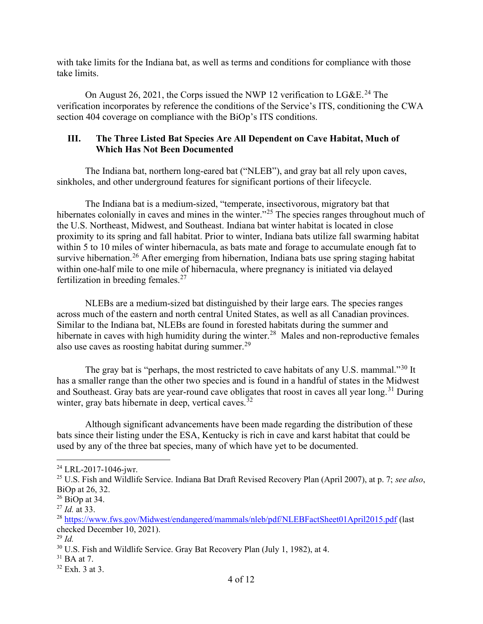with take limits for the Indiana bat, as well as terms and conditions for compliance with those take limits.

On August 26, 2021, the Corps issued the NWP 12 verification to  $LGAE<sup>24</sup>$ . The verification incorporates by reference the conditions of the Service's ITS, conditioning the CWA section 404 coverage on compliance with the BiOp's ITS conditions.

### III. The Three Listed Bat Species Are All Dependent on Cave Habitat, Much of Which Has Not Been Documented

The Indiana bat, northern long-eared bat ("NLEB"), and gray bat all rely upon caves, sinkholes, and other underground features for significant portions of their lifecycle.

The Indiana bat is a medium-sized, "temperate, insectivorous, migratory bat that hibernates colonially in caves and mines in the winter.<sup>"25</sup> The species ranges throughout much of the U.S. Northeast, Midwest, and Southeast. Indiana bat winter habitat is located in close proximity to its spring and fall habitat. Prior to winter, Indiana bats utilize fall swarming habitat within 5 to 10 miles of winter hibernacula, as bats mate and forage to accumulate enough fat to survive hibernation.<sup>26</sup> After emerging from hibernation, Indiana bats use spring staging habitat within one-half mile to one mile of hibernacula, where pregnancy is initiated via delayed fertilization in breeding females.<sup>27</sup>

NLEBs are a medium-sized bat distinguished by their large ears. The species ranges across much of the eastern and north central United States, as well as all Canadian provinces. Similar to the Indiana bat, NLEBs are found in forested habitats during the summer and hibernate in caves with high humidity during the winter.<sup>28</sup> Males and non-reproductive females also use caves as roosting habitat during summer. $29$ 

The gray bat is "perhaps, the most restricted to cave habitats of any U.S. mammal."<sup>30</sup> It has a smaller range than the other two species and is found in a handful of states in the Midwest and Southeast. Gray bats are year-round cave obligates that roost in caves all year long.<sup>31</sup> During winter, gray bats hibernate in deep, vertical caves.<sup>32</sup>

 Although significant advancements have been made regarding the distribution of these bats since their listing under the ESA, Kentucky is rich in cave and karst habitat that could be used by any of the three bat species, many of which have yet to be documented.

<sup>24</sup> LRL-2017-1046-jwr.

<sup>&</sup>lt;sup>25</sup> U.S. Fish and Wildlife Service. Indiana Bat Draft Revised Recovery Plan (April 2007), at p. 7; see also, BiOp at 26, 32.

 $26$  BiOp at 34.

 $^{27}$  *Id.* at 33.

<sup>&</sup>lt;sup>28</sup> https://www.fws.gov/Midwest/endangered/mammals/nleb/pdf/NLEBFactSheet01April2015.pdf (last checked December 10, 2021).

 $^{29}$  *Id.* 

<sup>&</sup>lt;sup>30</sup> U.S. Fish and Wildlife Service. Gray Bat Recovery Plan (July 1, 1982), at 4.

 $31$  BA at 7.

 $32$  Exh. 3 at 3.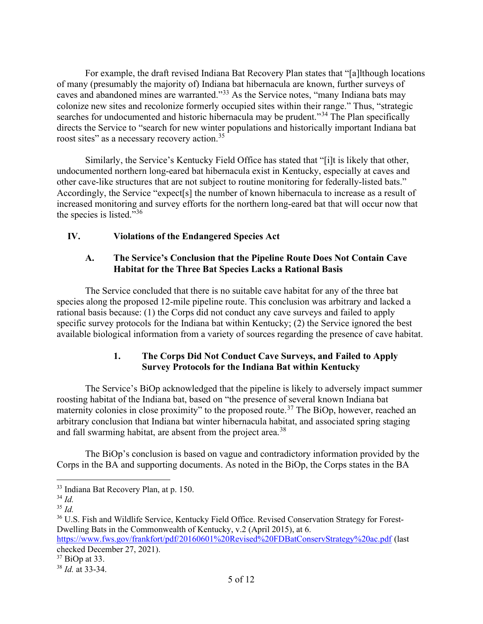For example, the draft revised Indiana Bat Recovery Plan states that "[a]lthough locations of many (presumably the majority of) Indiana bat hibernacula are known, further surveys of caves and abandoned mines are warranted."<sup>33</sup> As the Service notes, "many Indiana bats may colonize new sites and recolonize formerly occupied sites within their range." Thus, "strategic searches for undocumented and historic hibernacula may be prudent."<sup>34</sup> The Plan specifically directs the Service to "search for new winter populations and historically important Indiana bat roost sites" as a necessary recovery action.<sup>35</sup>

 Similarly, the Service's Kentucky Field Office has stated that "[i]t is likely that other, undocumented northern long-eared bat hibernacula exist in Kentucky, especially at caves and other cave-like structures that are not subject to routine monitoring for federally-listed bats." Accordingly, the Service "expect[s] the number of known hibernacula to increase as a result of increased monitoring and survey efforts for the northern long-eared bat that will occur now that the species is listed." $36$ 

# IV. Violations of the Endangered Species Act

### A. The Service's Conclusion that the Pipeline Route Does Not Contain Cave Habitat for the Three Bat Species Lacks a Rational Basis

The Service concluded that there is no suitable cave habitat for any of the three bat species along the proposed 12-mile pipeline route. This conclusion was arbitrary and lacked a rational basis because: (1) the Corps did not conduct any cave surveys and failed to apply specific survey protocols for the Indiana bat within Kentucky; (2) the Service ignored the best available biological information from a variety of sources regarding the presence of cave habitat.

# 1. The Corps Did Not Conduct Cave Surveys, and Failed to Apply Survey Protocols for the Indiana Bat within Kentucky

The Service's BiOp acknowledged that the pipeline is likely to adversely impact summer roosting habitat of the Indiana bat, based on "the presence of several known Indiana bat maternity colonies in close proximity" to the proposed route.<sup>37</sup> The BiOp, however, reached an arbitrary conclusion that Indiana bat winter hibernacula habitat, and associated spring staging and fall swarming habitat, are absent from the project area.<sup>38</sup>

The BiOp's conclusion is based on vague and contradictory information provided by the Corps in the BA and supporting documents. As noted in the BiOp, the Corps states in the BA

https://www.fws.gov/frankfort/pdf/20160601%20Revised%20FDBatConservStrategy%20ac.pdf (last checked December 27, 2021).

<sup>33</sup> Indiana Bat Recovery Plan, at p. 150.

<sup>34</sup> Id.

 $35$  *Id.* 

<sup>36</sup> U.S. Fish and Wildlife Service, Kentucky Field Office. Revised Conservation Strategy for Forest-Dwelling Bats in the Commonwealth of Kentucky, v.2 (April 2015), at 6.

<sup>37</sup> BiOp at 33.

 $38$  *Id.* at 33-34.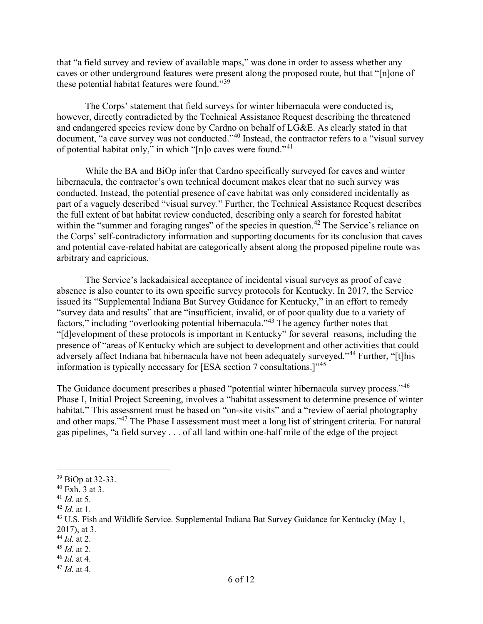that "a field survey and review of available maps," was done in order to assess whether any caves or other underground features were present along the proposed route, but that "[n]one of these potential habitat features were found."<sup>39</sup>

The Corps' statement that field surveys for winter hibernacula were conducted is, however, directly contradicted by the Technical Assistance Request describing the threatened and endangered species review done by Cardno on behalf of LG&E. As clearly stated in that document, "a cave survey was not conducted."<sup>40</sup> Instead, the contractor refers to a "visual survey of potential habitat only," in which "[n]o caves were found."<sup>41</sup>

While the BA and BiOp infer that Cardno specifically surveyed for caves and winter hibernacula, the contractor's own technical document makes clear that no such survey was conducted. Instead, the potential presence of cave habitat was only considered incidentally as part of a vaguely described "visual survey." Further, the Technical Assistance Request describes the full extent of bat habitat review conducted, describing only a search for forested habitat within the "summer and foraging ranges" of the species in question.<sup>42</sup> The Service's reliance on the Corps' self-contradictory information and supporting documents for its conclusion that caves and potential cave-related habitat are categorically absent along the proposed pipeline route was arbitrary and capricious.

The Service's lackadaisical acceptance of incidental visual surveys as proof of cave absence is also counter to its own specific survey protocols for Kentucky. In 2017, the Service issued its "Supplemental Indiana Bat Survey Guidance for Kentucky," in an effort to remedy "survey data and results" that are "insufficient, invalid, or of poor quality due to a variety of factors," including "overlooking potential hibernacula."<sup>43</sup> The agency further notes that "[d]evelopment of these protocols is important in Kentucky" for several reasons, including the presence of "areas of Kentucky which are subject to development and other activities that could adversely affect Indiana bat hibernacula have not been adequately surveyed."<sup>44</sup> Further, "[t]his information is typically necessary for [ESA section 7 consultations.]"<sup>45</sup>

The Guidance document prescribes a phased "potential winter hibernacula survey process."<sup>46</sup> Phase I, Initial Project Screening, involves a "habitat assessment to determine presence of winter habitat." This assessment must be based on "on-site visits" and a "review of aerial photography and other maps."<sup>47</sup> The Phase I assessment must meet a long list of stringent criteria. For natural gas pipelines, "a field survey . . . of all land within one-half mile of the edge of the project

<sup>39</sup> BiOp at 32-33.

 $40$  Exh. 3 at 3.

 $^{41}$  *Id.* at 5.

 $42$  *Id.* at 1.

<sup>&</sup>lt;sup>43</sup> U.S. Fish and Wildlife Service. Supplemental Indiana Bat Survey Guidance for Kentucky (May 1, 2017), at 3.

 $44$  *Id.* at 2.

 $45$  *Id.* at 2.

 $46$  *Id.* at 4.

 $47$  *Id.* at 4.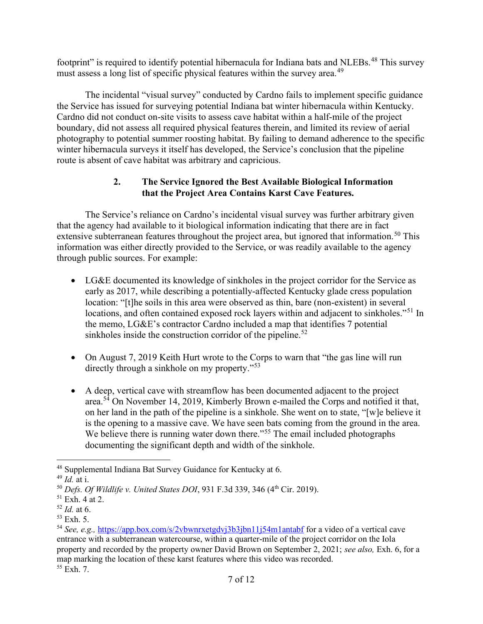footprint" is required to identify potential hibernacula for Indiana bats and NLEBs.<sup>48</sup> This survey must assess a long list of specific physical features within the survey area.<sup>49</sup>

The incidental "visual survey" conducted by Cardno fails to implement specific guidance the Service has issued for surveying potential Indiana bat winter hibernacula within Kentucky. Cardno did not conduct on-site visits to assess cave habitat within a half-mile of the project boundary, did not assess all required physical features therein, and limited its review of aerial photography to potential summer roosting habitat. By failing to demand adherence to the specific winter hibernacula surveys it itself has developed, the Service's conclusion that the pipeline route is absent of cave habitat was arbitrary and capricious.

# 2. The Service Ignored the Best Available Biological Information that the Project Area Contains Karst Cave Features.

The Service's reliance on Cardno's incidental visual survey was further arbitrary given that the agency had available to it biological information indicating that there are in fact extensive subterranean features throughout the project area, but ignored that information.<sup>50</sup> This information was either directly provided to the Service, or was readily available to the agency through public sources. For example:

- LG&E documented its knowledge of sinkholes in the project corridor for the Service as early as 2017, while describing a potentially-affected Kentucky glade cress population location: "[t]he soils in this area were observed as thin, bare (non-existent) in several locations, and often contained exposed rock layers within and adjacent to sinkholes."<sup>51</sup> In the memo, LG&E's contractor Cardno included a map that identifies 7 potential sinkholes inside the construction corridor of the pipeline.<sup>52</sup>
- On August 7, 2019 Keith Hurt wrote to the Corps to warn that "the gas line will run directly through a sinkhole on my property."<sup>53</sup>
- A deep, vertical cave with streamflow has been documented adjacent to the project area. $5\frac{3}{4}$  On November 14, 2019, Kimberly Brown e-mailed the Corps and notified it that, on her land in the path of the pipeline is a sinkhole. She went on to state, "[w]e believe it is the opening to a massive cave. We have seen bats coming from the ground in the area. We believe there is running water down there.<sup>"55</sup> The email included photographs documenting the significant depth and width of the sinkhole.

<sup>48</sup> Supplemental Indiana Bat Survey Guidance for Kentucky at 6.

 $49$  *Id.* at i.

 $50$  Defs. Of Wildlife v. United States DOI, 931 F.3d 339, 346 (4th Cir. 2019).

 $51$  Exh. 4 at 2.

 $52$  *Id.* at 6.

<sup>53</sup> Exh. 5.

<sup>54</sup> See, e.g., https://app.box.com/s/2vbwnrxetgdvj3b3jbn11j54m1antabf for a video of a vertical cave entrance with a subterranean watercourse, within a quarter-mile of the project corridor on the Iola property and recorded by the property owner David Brown on September 2, 2021; see also, Exh. 6, for a map marking the location of these karst features where this video was recorded.  $55$  Exh. 7.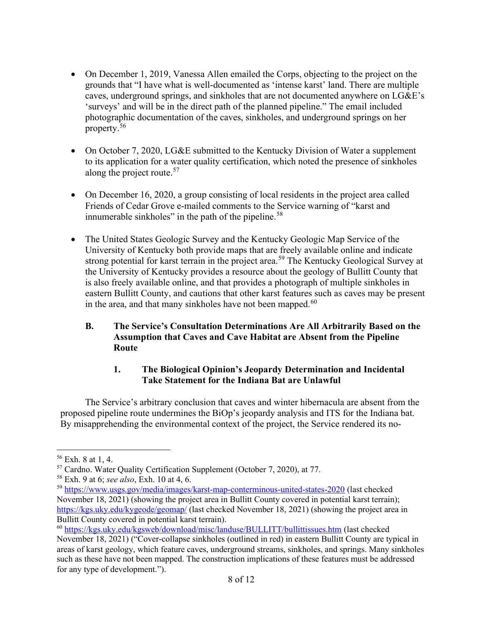- On December 1, 2019, Vanessa Allen emailed the Corps, objecting to the project on the grounds that "I have what is well-documented as 'intense karst' land. There are multiple caves, underground springs, and sinkholes that are not documented anywhere on LG&E's 'surveys' and will be in the direct path of the planned pipeline." The email included photographic documentation of the caves, sinkholes, and underground springs on her property.<sup>56</sup>
- On October 7, 2020, LG&E submitted to the Kentucky Division of Water a supplement to its application for a water quality certification, which noted the presence of sinkholes along the project route.<sup>57</sup>
- On December 16, 2020, a group consisting of local residents in the project area called Friends of Cedar Grove e-mailed comments to the Service warning of "karst and innumerable sinkholes" in the path of the pipeline. $58$
- The United States Geologic Survey and the Kentucky Geologic Map Service of the University of Kentucky both provide maps that are freely available online and indicate strong potential for karst terrain in the project area.<sup>59</sup> The Kentucky Geological Survey at the University of Kentucky provides a resource about the geology of Bullitt County that is also freely available online, and that provides a photograph of multiple sinkholes in eastern Bullitt County, and cautions that other karst features such as caves may be present in the area, and that many sinkholes have not been mapped. $60$

# B. The Service's Consultation Determinations Are All Arbitrarily Based on the Assumption that Caves and Cave Habitat are Absent from the Pipeline Route

# 1. The Biological Opinion's Jeopardy Determination and Incidental Take Statement for the Indiana Bat are Unlawful

The Service's arbitrary conclusion that caves and winter hibernacula are absent from the proposed pipeline route undermines the BiOp's jeopardy analysis and ITS for the Indiana bat. By misapprehending the environmental context of the project, the Service rendered its no-

 $56$  Exh. 8 at 1, 4.

<sup>57</sup> Cardno. Water Quality Certification Supplement (October 7, 2020), at 77.

<sup>58</sup> Exh. 9 at 6; see also, Exh. 10 at 4, 6.

<sup>59</sup> https://www.usgs.gov/media/images/karst-map-conterminous-united-states-2020 (last checked November 18, 2021) (showing the project area in Bullitt County covered in potential karst terrain); https://kgs.uky.edu/kygeode/geomap/ (last checked November 18, 2021) (showing the project area in Bullitt County covered in potential karst terrain).

<sup>60</sup> https://kgs.uky.edu/kgsweb/download/misc/landuse/BULLITT/bullittissues.htm (last checked November 18, 2021) ("Cover-collapse sinkholes (outlined in red) in eastern Bullitt County are typical in

areas of karst geology, which feature caves, underground streams, sinkholes, and springs. Many sinkholes such as these have not been mapped. The construction implications of these features must be addressed for any type of development.").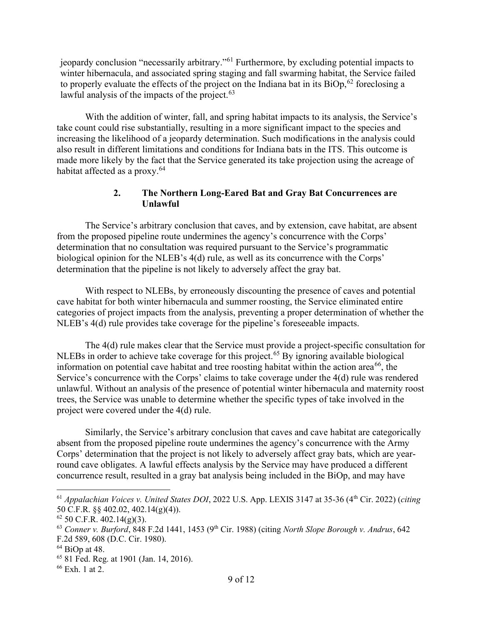jeopardy conclusion "necessarily arbitrary."<sup>61</sup> Furthermore, by excluding potential impacts to winter hibernacula, and associated spring staging and fall swarming habitat, the Service failed to properly evaluate the effects of the project on the Indiana bat in its  $\text{BiOp}_2^{62}$  foreclosing a lawful analysis of the impacts of the project.  $63$ 

With the addition of winter, fall, and spring habitat impacts to its analysis, the Service's take count could rise substantially, resulting in a more significant impact to the species and increasing the likelihood of a jeopardy determination. Such modifications in the analysis could also result in different limitations and conditions for Indiana bats in the ITS. This outcome is made more likely by the fact that the Service generated its take projection using the acreage of habitat affected as a proxy.<sup>64</sup>

### 2. The Northern Long-Eared Bat and Gray Bat Concurrences are Unlawful

The Service's arbitrary conclusion that caves, and by extension, cave habitat, are absent from the proposed pipeline route undermines the agency's concurrence with the Corps' determination that no consultation was required pursuant to the Service's programmatic biological opinion for the NLEB's 4(d) rule, as well as its concurrence with the Corps' determination that the pipeline is not likely to adversely affect the gray bat.

With respect to NLEBs, by erroneously discounting the presence of caves and potential cave habitat for both winter hibernacula and summer roosting, the Service eliminated entire categories of project impacts from the analysis, preventing a proper determination of whether the NLEB's 4(d) rule provides take coverage for the pipeline's foreseeable impacts.

The 4(d) rule makes clear that the Service must provide a project-specific consultation for NLEBs in order to achieve take coverage for this project.<sup>65</sup> By ignoring available biological information on potential cave habitat and tree roosting habitat within the action area<sup>66</sup>, the Service's concurrence with the Corps' claims to take coverage under the 4(d) rule was rendered unlawful. Without an analysis of the presence of potential winter hibernacula and maternity roost trees, the Service was unable to determine whether the specific types of take involved in the project were covered under the 4(d) rule.

 Similarly, the Service's arbitrary conclusion that caves and cave habitat are categorically absent from the proposed pipeline route undermines the agency's concurrence with the Army Corps' determination that the project is not likely to adversely affect gray bats, which are yearround cave obligates. A lawful effects analysis by the Service may have produced a different concurrence result, resulted in a gray bat analysis being included in the BiOp, and may have

 $^{61}$  Appalachian Voices v. United States DOI, 2022 U.S. App. LEXIS 3147 at 35-36 (4<sup>th</sup> Cir. 2022) (citing 50 C.F.R. §§ 402.02, 402.14(g)(4)).

 $62$  50 C.F.R. 402.14(g)(3).

 $63$  Conner v. Burford, 848 F.2d 1441, 1453 (9<sup>th</sup> Cir. 1988) (citing North Slope Borough v. Andrus, 642 F.2d 589, 608 (D.C. Cir. 1980).

 $64$  BiOp at 48.

<sup>65</sup> 81 Fed. Reg. at 1901 (Jan. 14, 2016).

<sup>66</sup> Exh. 1 at 2.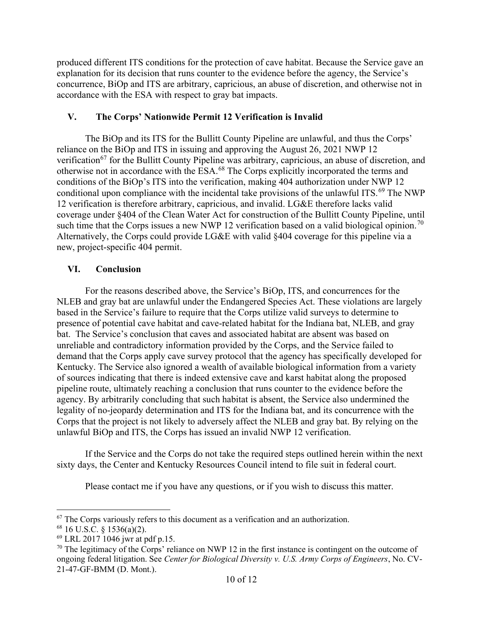produced different ITS conditions for the protection of cave habitat. Because the Service gave an explanation for its decision that runs counter to the evidence before the agency, the Service's concurrence, BiOp and ITS are arbitrary, capricious, an abuse of discretion, and otherwise not in accordance with the ESA with respect to gray bat impacts.

### V. The Corps' Nationwide Permit 12 Verification is Invalid

The BiOp and its ITS for the Bullitt County Pipeline are unlawful, and thus the Corps' reliance on the BiOp and ITS in issuing and approving the August 26, 2021 NWP 12 verification<sup>67</sup> for the Bullitt County Pipeline was arbitrary, capricious, an abuse of discretion, and otherwise not in accordance with the ESA.<sup>68</sup> The Corps explicitly incorporated the terms and conditions of the BiOp's ITS into the verification, making 404 authorization under NWP 12 conditional upon compliance with the incidental take provisions of the unlawful ITS.<sup>69</sup> The NWP 12 verification is therefore arbitrary, capricious, and invalid. LG&E therefore lacks valid coverage under §404 of the Clean Water Act for construction of the Bullitt County Pipeline, until such time that the Corps issues a new NWP 12 verification based on a valid biological opinion.<sup>70</sup> Alternatively, the Corps could provide LG&E with valid §404 coverage for this pipeline via a new, project-specific 404 permit.

# VI. Conclusion

For the reasons described above, the Service's BiOp, ITS, and concurrences for the NLEB and gray bat are unlawful under the Endangered Species Act. These violations are largely based in the Service's failure to require that the Corps utilize valid surveys to determine to presence of potential cave habitat and cave-related habitat for the Indiana bat, NLEB, and gray bat. The Service's conclusion that caves and associated habitat are absent was based on unreliable and contradictory information provided by the Corps, and the Service failed to demand that the Corps apply cave survey protocol that the agency has specifically developed for Kentucky. The Service also ignored a wealth of available biological information from a variety of sources indicating that there is indeed extensive cave and karst habitat along the proposed pipeline route, ultimately reaching a conclusion that runs counter to the evidence before the agency. By arbitrarily concluding that such habitat is absent, the Service also undermined the legality of no-jeopardy determination and ITS for the Indiana bat, and its concurrence with the Corps that the project is not likely to adversely affect the NLEB and gray bat. By relying on the unlawful BiOp and ITS, the Corps has issued an invalid NWP 12 verification.

If the Service and the Corps do not take the required steps outlined herein within the next sixty days, the Center and Kentucky Resources Council intend to file suit in federal court.

Please contact me if you have any questions, or if you wish to discuss this matter.

<sup>&</sup>lt;sup>67</sup> The Corps variously refers to this document as a verification and an authorization.

 $68$  16 U.S.C. § 1536(a)(2).

<sup>69</sup> LRL 2017 1046 jwr at pdf p.15.

 $70$  The legitimacy of the Corps' reliance on NWP 12 in the first instance is contingent on the outcome of ongoing federal litigation. See Center for Biological Diversity v. U.S. Army Corps of Engineers, No. CV-21-47-GF-BMM (D. Mont.).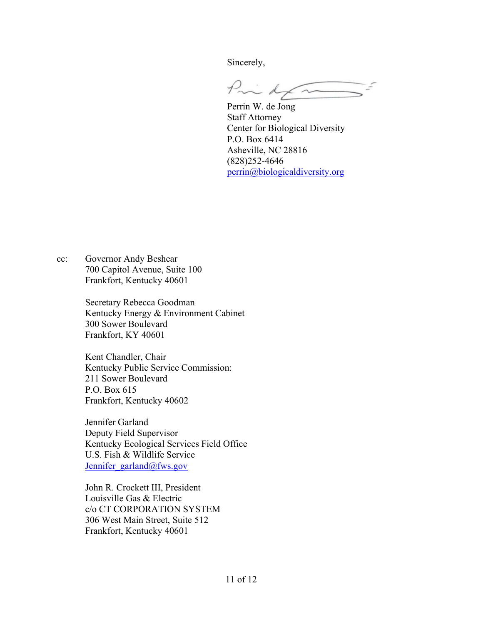Sincerely,

Pinker  $\frac{1}{2}$ 

Perrin W. de Jong Staff Attorney Center for Biological Diversity P.O. Box 6414 Asheville, NC 28816 (828)252-4646 perrin@biologicaldiversity.org

cc: Governor Andy Beshear 700 Capitol Avenue, Suite 100 Frankfort, Kentucky 40601

> Secretary Rebecca Goodman Kentucky Energy & Environment Cabinet 300 Sower Boulevard Frankfort, KY 40601

Kent Chandler, Chair Kentucky Public Service Commission: 211 Sower Boulevard P.O. Box 615 Frankfort, Kentucky 40602

Jennifer Garland Deputy Field Supervisor Kentucky Ecological Services Field Office U.S. Fish & Wildlife Service Jennifer\_garland@fws.gov

John R. Crockett III, President Louisville Gas & Electric c/o CT CORPORATION SYSTEM 306 West Main Street, Suite 512 Frankfort, Kentucky 40601